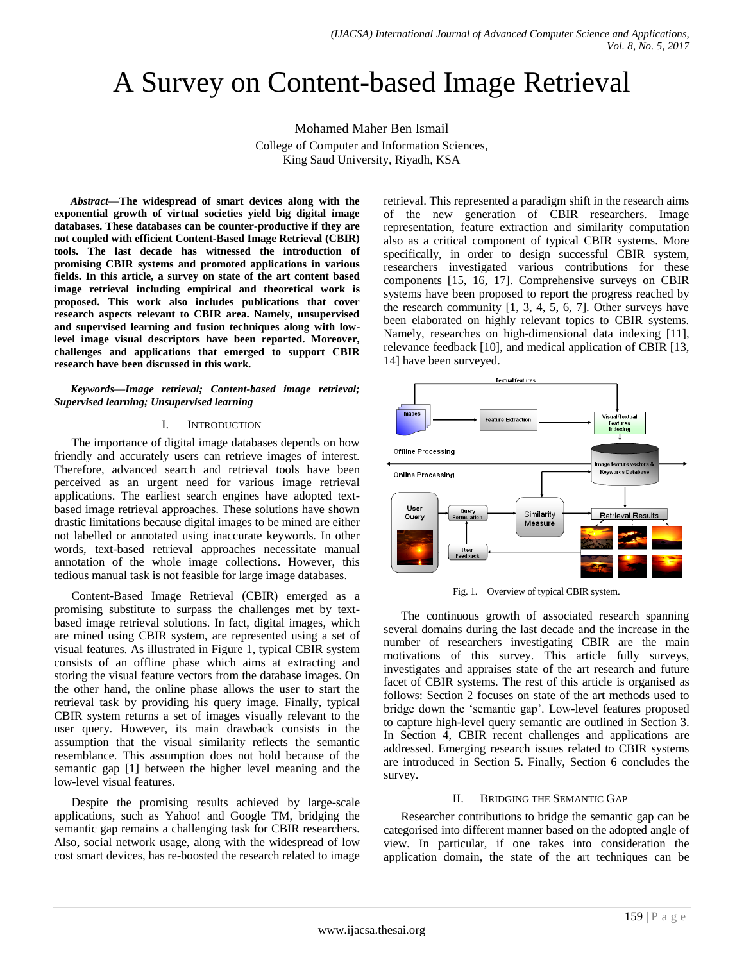# A Survey on Content-based Image Retrieval

Mohamed Maher Ben Ismail College of Computer and Information Sciences, King Saud University, Riyadh, KSA

*Abstract***—The widespread of smart devices along with the exponential growth of virtual societies yield big digital image databases. These databases can be counter-productive if they are not coupled with efficient Content-Based Image Retrieval (CBIR) tools. The last decade has witnessed the introduction of promising CBIR systems and promoted applications in various fields. In this article, a survey on state of the art content based image retrieval including empirical and theoretical work is proposed. This work also includes publications that cover research aspects relevant to CBIR area. Namely, unsupervised and supervised learning and fusion techniques along with lowlevel image visual descriptors have been reported. Moreover, challenges and applications that emerged to support CBIR research have been discussed in this work.**

*Keywords—Image retrieval; Content-based image retrieval; Supervised learning; Unsupervised learning*

#### I. INTRODUCTION

The importance of digital image databases depends on how friendly and accurately users can retrieve images of interest. Therefore, advanced search and retrieval tools have been perceived as an urgent need for various image retrieval applications. The earliest search engines have adopted textbased image retrieval approaches. These solutions have shown drastic limitations because digital images to be mined are either not labelled or annotated using inaccurate keywords. In other words, text-based retrieval approaches necessitate manual annotation of the whole image collections. However, this tedious manual task is not feasible for large image databases.

Content-Based Image Retrieval (CBIR) emerged as a promising substitute to surpass the challenges met by textbased image retrieval solutions. In fact, digital images, which are mined using CBIR system, are represented using a set of visual features. As illustrated in Figure 1, typical CBIR system consists of an offline phase which aims at extracting and storing the visual feature vectors from the database images. On the other hand, the online phase allows the user to start the retrieval task by providing his query image. Finally, typical CBIR system returns a set of images visually relevant to the user query. However, its main drawback consists in the assumption that the visual similarity reflects the semantic resemblance. This assumption does not hold because of the semantic gap [1] between the higher level meaning and the low-level visual features.

Despite the promising results achieved by large-scale applications, such as Yahoo! and Google TM, bridging the semantic gap remains a challenging task for CBIR researchers. Also, social network usage, along with the widespread of low cost smart devices, has re-boosted the research related to image retrieval. This represented a paradigm shift in the research aims of the new generation of CBIR researchers. Image representation, feature extraction and similarity computation also as a critical component of typical CBIR systems. More specifically, in order to design successful CBIR system, researchers investigated various contributions for these components [15, 16, 17]. Comprehensive surveys on CBIR systems have been proposed to report the progress reached by the research community  $[1, 3, 4, 5, 6, 7]$ . Other surveys have been elaborated on highly relevant topics to CBIR systems. Namely, researches on high-dimensional data indexing [11], relevance feedback [10], and medical application of CBIR [13, 14] have been surveyed.



Fig. 1. Overview of typical CBIR system.

The continuous growth of associated research spanning several domains during the last decade and the increase in the number of researchers investigating CBIR are the main motivations of this survey. This article fully surveys, investigates and appraises state of the art research and future facet of CBIR systems. The rest of this article is organised as follows: Section 2 focuses on state of the art methods used to bridge down the "semantic gap". Low-level features proposed to capture high-level query semantic are outlined in Section 3. In Section 4, CBIR recent challenges and applications are addressed. Emerging research issues related to CBIR systems are introduced in Section 5. Finally, Section 6 concludes the survey.

#### II. BRIDGING THE SEMANTIC GAP

Researcher contributions to bridge the semantic gap can be categorised into different manner based on the adopted angle of view. In particular, if one takes into consideration the application domain, the state of the art techniques can be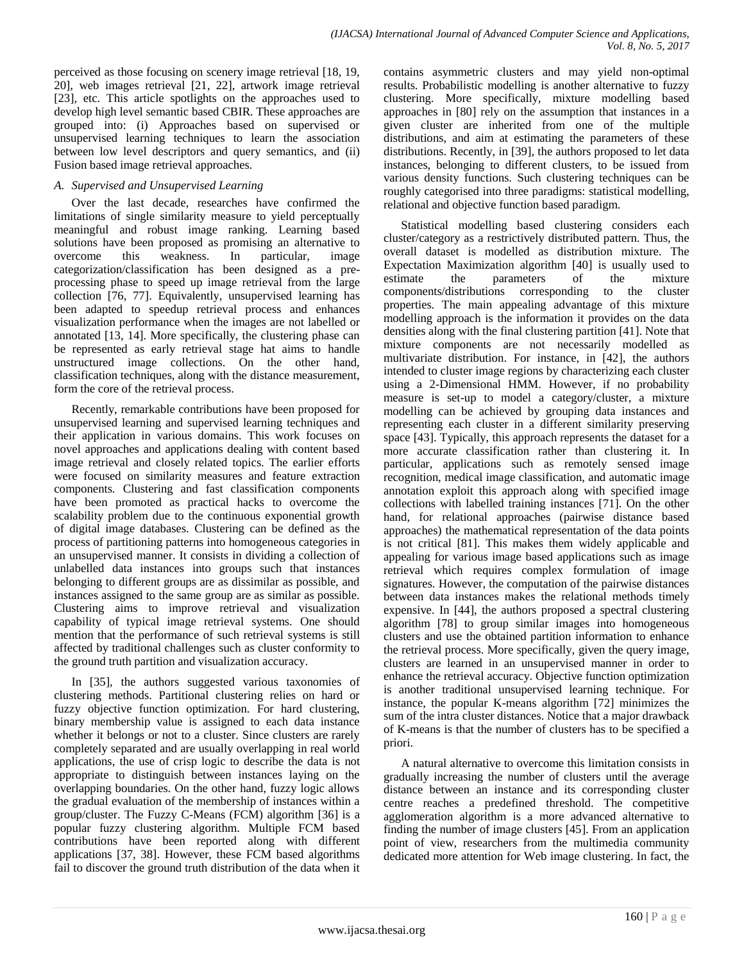perceived as those focusing on scenery image retrieval [18, 19, 20], web images retrieval [21, 22], artwork image retrieval [23], etc. This article spotlights on the approaches used to develop high level semantic based CBIR. These approaches are grouped into: (i) Approaches based on supervised or unsupervised learning techniques to learn the association between low level descriptors and query semantics, and (ii) Fusion based image retrieval approaches.

# *A. Supervised and Unsupervised Learning*

Over the last decade, researches have confirmed the limitations of single similarity measure to yield perceptually meaningful and robust image ranking. Learning based solutions have been proposed as promising an alternative to overcome this weakness. In particular, image categorization/classification has been designed as a preprocessing phase to speed up image retrieval from the large collection [76, 77]. Equivalently, unsupervised learning has been adapted to speedup retrieval process and enhances visualization performance when the images are not labelled or annotated [13, 14]. More specifically, the clustering phase can be represented as early retrieval stage hat aims to handle unstructured image collections. On the other hand, classification techniques, along with the distance measurement, form the core of the retrieval process.

Recently, remarkable contributions have been proposed for unsupervised learning and supervised learning techniques and their application in various domains. This work focuses on novel approaches and applications dealing with content based image retrieval and closely related topics. The earlier efforts were focused on similarity measures and feature extraction components. Clustering and fast classification components have been promoted as practical hacks to overcome the scalability problem due to the continuous exponential growth of digital image databases. Clustering can be defined as the process of partitioning patterns into homogeneous categories in an unsupervised manner. It consists in dividing a collection of unlabelled data instances into groups such that instances belonging to different groups are as dissimilar as possible, and instances assigned to the same group are as similar as possible. Clustering aims to improve retrieval and visualization capability of typical image retrieval systems. One should mention that the performance of such retrieval systems is still affected by traditional challenges such as cluster conformity to the ground truth partition and visualization accuracy.

In [35], the authors suggested various taxonomies of clustering methods. Partitional clustering relies on hard or fuzzy objective function optimization. For hard clustering, binary membership value is assigned to each data instance whether it belongs or not to a cluster. Since clusters are rarely completely separated and are usually overlapping in real world applications, the use of crisp logic to describe the data is not appropriate to distinguish between instances laying on the overlapping boundaries. On the other hand, fuzzy logic allows the gradual evaluation of the membership of instances within a group/cluster. The Fuzzy C-Means (FCM) algorithm [36] is a popular fuzzy clustering algorithm. Multiple FCM based contributions have been reported along with different applications [37, 38]. However, these FCM based algorithms fail to discover the ground truth distribution of the data when it

contains asymmetric clusters and may yield non-optimal results. Probabilistic modelling is another alternative to fuzzy clustering. More specifically, mixture modelling based approaches in [80] rely on the assumption that instances in a given cluster are inherited from one of the multiple distributions, and aim at estimating the parameters of these distributions. Recently, in [39], the authors proposed to let data instances, belonging to different clusters, to be issued from various density functions. Such clustering techniques can be roughly categorised into three paradigms: statistical modelling, relational and objective function based paradigm.

Statistical modelling based clustering considers each cluster/category as a restrictively distributed pattern. Thus, the overall dataset is modelled as distribution mixture. The Expectation Maximization algorithm [40] is usually used to estimate the parameters of the mixture components/distributions corresponding to the cluster properties. The main appealing advantage of this mixture modelling approach is the information it provides on the data densities along with the final clustering partition [41]. Note that mixture components are not necessarily modelled as multivariate distribution. For instance, in [42], the authors intended to cluster image regions by characterizing each cluster using a 2-Dimensional HMM. However, if no probability measure is set-up to model a category/cluster, a mixture modelling can be achieved by grouping data instances and representing each cluster in a different similarity preserving space [43]. Typically, this approach represents the dataset for a more accurate classification rather than clustering it. In particular, applications such as remotely sensed image recognition, medical image classification, and automatic image annotation exploit this approach along with specified image collections with labelled training instances [71]. On the other hand, for relational approaches (pairwise distance based approaches) the mathematical representation of the data points is not critical [81]. This makes them widely applicable and appealing for various image based applications such as image retrieval which requires complex formulation of image signatures. However, the computation of the pairwise distances between data instances makes the relational methods timely expensive. In [44], the authors proposed a spectral clustering algorithm [78] to group similar images into homogeneous clusters and use the obtained partition information to enhance the retrieval process. More specifically, given the query image, clusters are learned in an unsupervised manner in order to enhance the retrieval accuracy. Objective function optimization is another traditional unsupervised learning technique. For instance, the popular K-means algorithm [72] minimizes the sum of the intra cluster distances. Notice that a major drawback of K-means is that the number of clusters has to be specified a priori.

A natural alternative to overcome this limitation consists in gradually increasing the number of clusters until the average distance between an instance and its corresponding cluster centre reaches a predefined threshold. The competitive agglomeration algorithm is a more advanced alternative to finding the number of image clusters [45]. From an application point of view, researchers from the multimedia community dedicated more attention for Web image clustering. In fact, the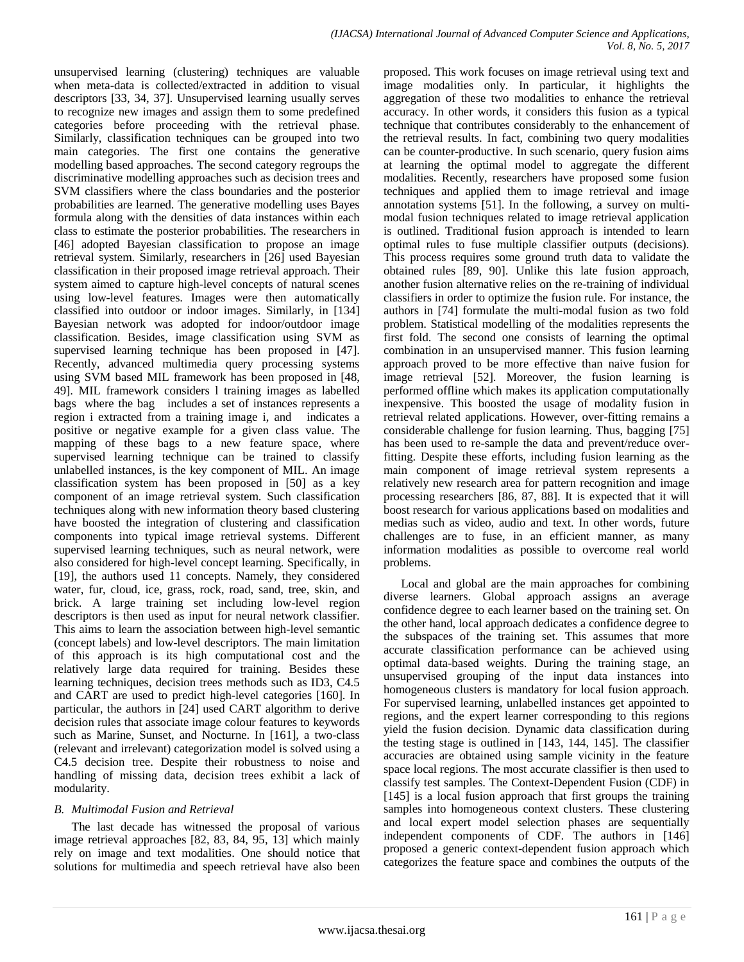unsupervised learning (clustering) techniques are valuable when meta-data is collected/extracted in addition to visual descriptors [33, 34, 37]. Unsupervised learning usually serves to recognize new images and assign them to some predefined categories before proceeding with the retrieval phase. Similarly, classification techniques can be grouped into two main categories. The first one contains the generative modelling based approaches. The second category regroups the discriminative modelling approaches such as decision trees and SVM classifiers where the class boundaries and the posterior probabilities are learned. The generative modelling uses Bayes formula along with the densities of data instances within each class to estimate the posterior probabilities. The researchers in [46] adopted Bayesian classification to propose an image retrieval system. Similarly, researchers in [26] used Bayesian classification in their proposed image retrieval approach. Their system aimed to capture high-level concepts of natural scenes using low-level features. Images were then automatically classified into outdoor or indoor images. Similarly, in [134] Bayesian network was adopted for indoor/outdoor image classification. Besides, image classification using SVM as supervised learning technique has been proposed in [47]. Recently, advanced multimedia query processing systems using SVM based MIL framework has been proposed in [48, 49]. MIL framework considers l training images as labelled bags where the bag includes a set of instances represents a region i extracted from a training image i, and indicates a positive or negative example for a given class value. The mapping of these bags to a new feature space, where supervised learning technique can be trained to classify unlabelled instances, is the key component of MIL. An image classification system has been proposed in [50] as a key component of an image retrieval system. Such classification techniques along with new information theory based clustering have boosted the integration of clustering and classification components into typical image retrieval systems. Different supervised learning techniques, such as neural network, were also considered for high-level concept learning. Specifically, in [19], the authors used 11 concepts. Namely, they considered water, fur, cloud, ice, grass, rock, road, sand, tree, skin, and brick. A large training set including low-level region descriptors is then used as input for neural network classifier. This aims to learn the association between high-level semantic (concept labels) and low-level descriptors. The main limitation of this approach is its high computational cost and the relatively large data required for training. Besides these learning techniques, decision trees methods such as ID3, C4.5 and CART are used to predict high-level categories [160]. In particular, the authors in [24] used CART algorithm to derive decision rules that associate image colour features to keywords such as Marine, Sunset, and Nocturne. In [161], a two-class (relevant and irrelevant) categorization model is solved using a C4.5 decision tree. Despite their robustness to noise and handling of missing data, decision trees exhibit a lack of modularity.

## *B. Multimodal Fusion and Retrieval*

The last decade has witnessed the proposal of various image retrieval approaches [82, 83, 84, 95, 13] which mainly rely on image and text modalities. One should notice that solutions for multimedia and speech retrieval have also been proposed. This work focuses on image retrieval using text and image modalities only. In particular, it highlights the aggregation of these two modalities to enhance the retrieval accuracy. In other words, it considers this fusion as a typical technique that contributes considerably to the enhancement of the retrieval results. In fact, combining two query modalities can be counter-productive. In such scenario, query fusion aims at learning the optimal model to aggregate the different modalities. Recently, researchers have proposed some fusion techniques and applied them to image retrieval and image annotation systems [51]. In the following, a survey on multimodal fusion techniques related to image retrieval application is outlined. Traditional fusion approach is intended to learn optimal rules to fuse multiple classifier outputs (decisions). This process requires some ground truth data to validate the obtained rules [89, 90]. Unlike this late fusion approach, another fusion alternative relies on the re-training of individual classifiers in order to optimize the fusion rule. For instance, the authors in [74] formulate the multi-modal fusion as two fold problem. Statistical modelling of the modalities represents the first fold. The second one consists of learning the optimal combination in an unsupervised manner. This fusion learning approach proved to be more effective than naive fusion for image retrieval [52]. Moreover, the fusion learning is performed offline which makes its application computationally inexpensive. This boosted the usage of modality fusion in retrieval related applications. However, over-fitting remains a considerable challenge for fusion learning. Thus, bagging [75] has been used to re-sample the data and prevent/reduce overfitting. Despite these efforts, including fusion learning as the main component of image retrieval system represents a relatively new research area for pattern recognition and image processing researchers [86, 87, 88]. It is expected that it will boost research for various applications based on modalities and medias such as video, audio and text. In other words, future challenges are to fuse, in an efficient manner, as many information modalities as possible to overcome real world problems.

Local and global are the main approaches for combining diverse learners. Global approach assigns an average confidence degree to each learner based on the training set. On the other hand, local approach dedicates a confidence degree to the subspaces of the training set. This assumes that more accurate classification performance can be achieved using optimal data-based weights. During the training stage, an unsupervised grouping of the input data instances into homogeneous clusters is mandatory for local fusion approach. For supervised learning, unlabelled instances get appointed to regions, and the expert learner corresponding to this regions yield the fusion decision. Dynamic data classification during the testing stage is outlined in [143, 144, 145]. The classifier accuracies are obtained using sample vicinity in the feature space local regions. The most accurate classifier is then used to classify test samples. The Context-Dependent Fusion (CDF) in [145] is a local fusion approach that first groups the training samples into homogeneous context clusters. These clustering and local expert model selection phases are sequentially independent components of CDF. The authors in [146] proposed a generic context-dependent fusion approach which categorizes the feature space and combines the outputs of the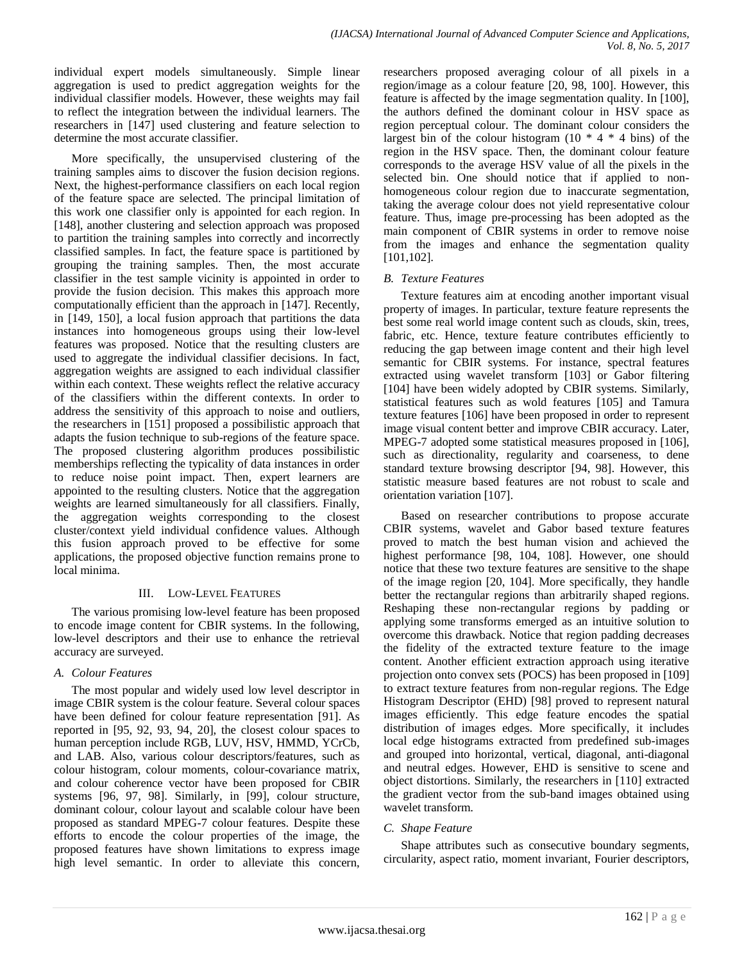individual expert models simultaneously. Simple linear aggregation is used to predict aggregation weights for the individual classifier models. However, these weights may fail to reflect the integration between the individual learners. The researchers in [147] used clustering and feature selection to determine the most accurate classifier.

More specifically, the unsupervised clustering of the training samples aims to discover the fusion decision regions. Next, the highest-performance classifiers on each local region of the feature space are selected. The principal limitation of this work one classifier only is appointed for each region. In [148], another clustering and selection approach was proposed to partition the training samples into correctly and incorrectly classified samples. In fact, the feature space is partitioned by grouping the training samples. Then, the most accurate classifier in the test sample vicinity is appointed in order to provide the fusion decision. This makes this approach more computationally efficient than the approach in [147]. Recently, in [149, 150], a local fusion approach that partitions the data instances into homogeneous groups using their low-level features was proposed. Notice that the resulting clusters are used to aggregate the individual classifier decisions. In fact, aggregation weights are assigned to each individual classifier within each context. These weights reflect the relative accuracy of the classifiers within the different contexts. In order to address the sensitivity of this approach to noise and outliers, the researchers in [151] proposed a possibilistic approach that adapts the fusion technique to sub-regions of the feature space. The proposed clustering algorithm produces possibilistic memberships reflecting the typicality of data instances in order to reduce noise point impact. Then, expert learners are appointed to the resulting clusters. Notice that the aggregation weights are learned simultaneously for all classifiers. Finally, the aggregation weights corresponding to the closest cluster/context yield individual confidence values. Although this fusion approach proved to be effective for some applications, the proposed objective function remains prone to local minima.

# III. LOW-LEVEL FEATURES

The various promising low-level feature has been proposed to encode image content for CBIR systems. In the following, low-level descriptors and their use to enhance the retrieval accuracy are surveyed.

## *A. Colour Features*

The most popular and widely used low level descriptor in image CBIR system is the colour feature. Several colour spaces have been defined for colour feature representation [91]. As reported in [95, 92, 93, 94, 20], the closest colour spaces to human perception include RGB, LUV, HSV, HMMD, YCrCb, and LAB. Also, various colour descriptors/features, such as colour histogram, colour moments, colour-covariance matrix, and colour coherence vector have been proposed for CBIR systems [96, 97, 98]. Similarly, in [99], colour structure, dominant colour, colour layout and scalable colour have been proposed as standard MPEG-7 colour features. Despite these efforts to encode the colour properties of the image, the proposed features have shown limitations to express image high level semantic. In order to alleviate this concern, researchers proposed averaging colour of all pixels in a region/image as a colour feature [20, 98, 100]. However, this feature is affected by the image segmentation quality. In [100], the authors defined the dominant colour in HSV space as region perceptual colour. The dominant colour considers the largest bin of the colour histogram  $(10 * 4 * 4$  bins) of the region in the HSV space. Then, the dominant colour feature corresponds to the average HSV value of all the pixels in the selected bin. One should notice that if applied to nonhomogeneous colour region due to inaccurate segmentation, taking the average colour does not yield representative colour feature. Thus, image pre-processing has been adopted as the main component of CBIR systems in order to remove noise from the images and enhance the segmentation quality [101,102].

# *B. Texture Features*

Texture features aim at encoding another important visual property of images. In particular, texture feature represents the best some real world image content such as clouds, skin, trees, fabric, etc. Hence, texture feature contributes efficiently to reducing the gap between image content and their high level semantic for CBIR systems. For instance, spectral features extracted using wavelet transform [103] or Gabor filtering [104] have been widely adopted by CBIR systems. Similarly, statistical features such as wold features [105] and Tamura texture features [106] have been proposed in order to represent image visual content better and improve CBIR accuracy. Later, MPEG-7 adopted some statistical measures proposed in [106], such as directionality, regularity and coarseness, to dene standard texture browsing descriptor [94, 98]. However, this statistic measure based features are not robust to scale and orientation variation [107].

Based on researcher contributions to propose accurate CBIR systems, wavelet and Gabor based texture features proved to match the best human vision and achieved the highest performance [98, 104, 108]. However, one should notice that these two texture features are sensitive to the shape of the image region [20, 104]. More specifically, they handle better the rectangular regions than arbitrarily shaped regions. Reshaping these non-rectangular regions by padding or applying some transforms emerged as an intuitive solution to overcome this drawback. Notice that region padding decreases the fidelity of the extracted texture feature to the image content. Another efficient extraction approach using iterative projection onto convex sets (POCS) has been proposed in [109] to extract texture features from non-regular regions. The Edge Histogram Descriptor (EHD) [98] proved to represent natural images efficiently. This edge feature encodes the spatial distribution of images edges. More specifically, it includes local edge histograms extracted from predefined sub-images and grouped into horizontal, vertical, diagonal, anti-diagonal and neutral edges. However, EHD is sensitive to scene and object distortions. Similarly, the researchers in [110] extracted the gradient vector from the sub-band images obtained using wavelet transform.

## *C. Shape Feature*

Shape attributes such as consecutive boundary segments, circularity, aspect ratio, moment invariant, Fourier descriptors,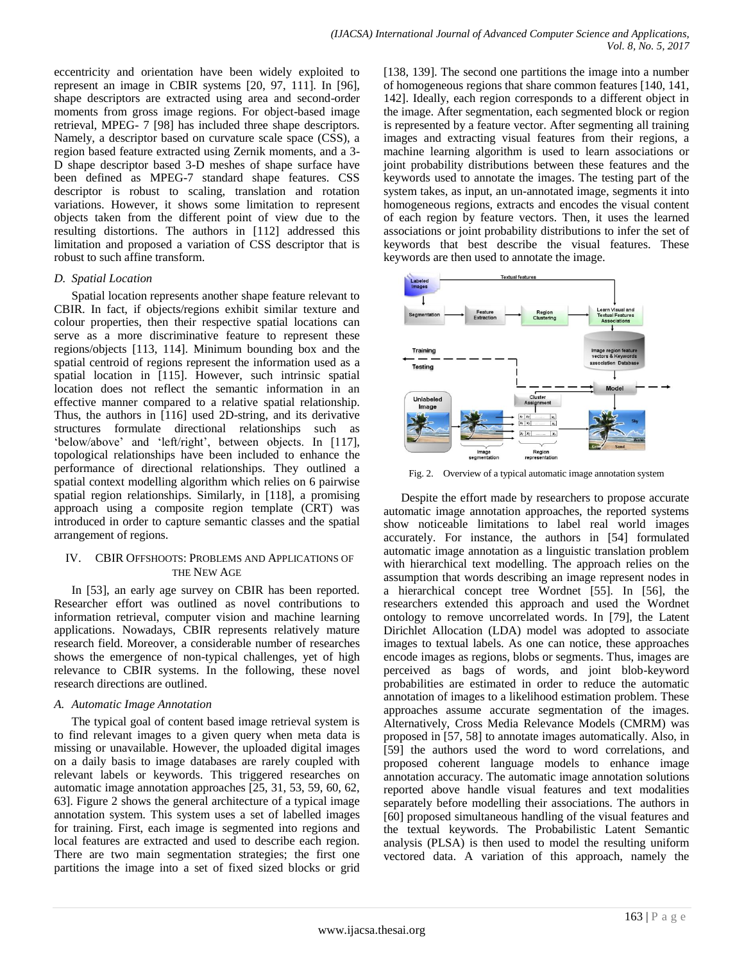eccentricity and orientation have been widely exploited to represent an image in CBIR systems [20, 97, 111]. In [96], shape descriptors are extracted using area and second-order moments from gross image regions. For object-based image retrieval, MPEG- 7 [98] has included three shape descriptors. Namely, a descriptor based on curvature scale space (CSS), a region based feature extracted using Zernik moments, and a 3- D shape descriptor based 3-D meshes of shape surface have been defined as MPEG-7 standard shape features. CSS descriptor is robust to scaling, translation and rotation variations. However, it shows some limitation to represent objects taken from the different point of view due to the resulting distortions. The authors in [112] addressed this limitation and proposed a variation of CSS descriptor that is robust to such affine transform.

## *D. Spatial Location*

Spatial location represents another shape feature relevant to CBIR. In fact, if objects/regions exhibit similar texture and colour properties, then their respective spatial locations can serve as a more discriminative feature to represent these regions/objects [113, 114]. Minimum bounding box and the spatial centroid of regions represent the information used as a spatial location in [115]. However, such intrinsic spatial location does not reflect the semantic information in an effective manner compared to a relative spatial relationship. Thus, the authors in [116] used 2D-string, and its derivative structures formulate directional relationships such as 'below/above' and 'left/right', between objects. In [117], topological relationships have been included to enhance the performance of directional relationships. They outlined a spatial context modelling algorithm which relies on 6 pairwise spatial region relationships. Similarly, in [118], a promising approach using a composite region template (CRT) was introduced in order to capture semantic classes and the spatial arrangement of regions.

# IV. CBIR OFFSHOOTS: PROBLEMS AND APPLICATIONS OF THE NEW AGE

In [53], an early age survey on CBIR has been reported. Researcher effort was outlined as novel contributions to information retrieval, computer vision and machine learning applications. Nowadays, CBIR represents relatively mature research field. Moreover, a considerable number of researches shows the emergence of non-typical challenges, yet of high relevance to CBIR systems. In the following, these novel research directions are outlined.

# *A. Automatic Image Annotation*

The typical goal of content based image retrieval system is to find relevant images to a given query when meta data is missing or unavailable. However, the uploaded digital images on a daily basis to image databases are rarely coupled with relevant labels or keywords. This triggered researches on automatic image annotation approaches [25, 31, 53, 59, 60, 62, 63]. Figure 2 shows the general architecture of a typical image annotation system. This system uses a set of labelled images for training. First, each image is segmented into regions and local features are extracted and used to describe each region. There are two main segmentation strategies; the first one partitions the image into a set of fixed sized blocks or grid

[138, 139]. The second one partitions the image into a number of homogeneous regions that share common features [140, 141, 142]. Ideally, each region corresponds to a different object in the image. After segmentation, each segmented block or region is represented by a feature vector. After segmenting all training images and extracting visual features from their regions, a machine learning algorithm is used to learn associations or joint probability distributions between these features and the keywords used to annotate the images. The testing part of the system takes, as input, an un-annotated image, segments it into homogeneous regions, extracts and encodes the visual content of each region by feature vectors. Then, it uses the learned associations or joint probability distributions to infer the set of keywords that best describe the visual features. These keywords are then used to annotate the image.



Fig. 2. Overview of a typical automatic image annotation system

Despite the effort made by researchers to propose accurate automatic image annotation approaches, the reported systems show noticeable limitations to label real world images accurately. For instance, the authors in [54] formulated automatic image annotation as a linguistic translation problem with hierarchical text modelling. The approach relies on the assumption that words describing an image represent nodes in a hierarchical concept tree Wordnet [55]. In [56], the researchers extended this approach and used the Wordnet ontology to remove uncorrelated words. In [79], the Latent Dirichlet Allocation (LDA) model was adopted to associate images to textual labels. As one can notice, these approaches encode images as regions, blobs or segments. Thus, images are perceived as bags of words, and joint blob-keyword probabilities are estimated in order to reduce the automatic annotation of images to a likelihood estimation problem. These approaches assume accurate segmentation of the images. Alternatively, Cross Media Relevance Models (CMRM) was proposed in [57, 58] to annotate images automatically. Also, in [59] the authors used the word to word correlations, and proposed coherent language models to enhance image annotation accuracy. The automatic image annotation solutions reported above handle visual features and text modalities separately before modelling their associations. The authors in [60] proposed simultaneous handling of the visual features and the textual keywords. The Probabilistic Latent Semantic analysis (PLSA) is then used to model the resulting uniform vectored data. A variation of this approach, namely the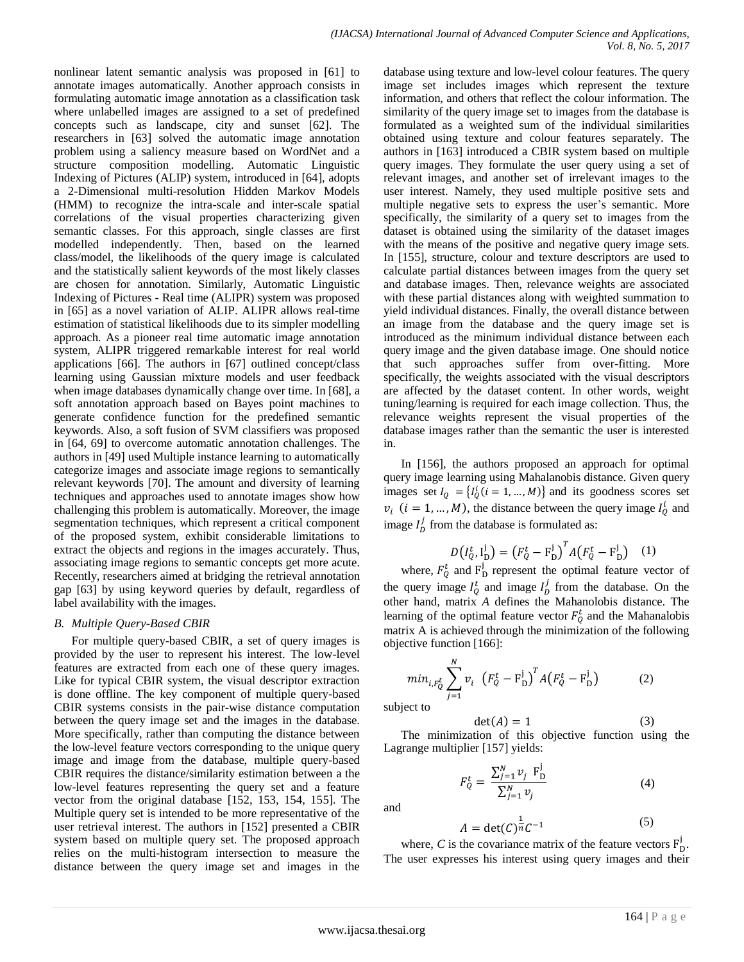nonlinear latent semantic analysis was proposed in [61] to annotate images automatically. Another approach consists in formulating automatic image annotation as a classification task where unlabelled images are assigned to a set of predefined concepts such as landscape, city and sunset [62]. The researchers in [63] solved the automatic image annotation problem using a saliency measure based on WordNet and a structure composition modelling. Automatic Linguistic Indexing of Pictures (ALIP) system, introduced in [64], adopts a 2-Dimensional multi-resolution Hidden Markov Models (HMM) to recognize the intra-scale and inter-scale spatial correlations of the visual properties characterizing given semantic classes. For this approach, single classes are first modelled independently. Then, based on the learned class/model, the likelihoods of the query image is calculated and the statistically salient keywords of the most likely classes are chosen for annotation. Similarly, Automatic Linguistic Indexing of Pictures - Real time (ALIPR) system was proposed in [65] as a novel variation of ALIP. ALIPR allows real-time estimation of statistical likelihoods due to its simpler modelling approach. As a pioneer real time automatic image annotation system, ALIPR triggered remarkable interest for real world applications [66]. The authors in [67] outlined concept/class learning using Gaussian mixture models and user feedback when image databases dynamically change over time. In [68], a soft annotation approach based on Bayes point machines to generate confidence function for the predefined semantic keywords. Also, a soft fusion of SVM classifiers was proposed in [64, 69] to overcome automatic annotation challenges. The authors in [49] used Multiple instance learning to automatically categorize images and associate image regions to semantically relevant keywords [70]. The amount and diversity of learning techniques and approaches used to annotate images show how challenging this problem is automatically. Moreover, the image segmentation techniques, which represent a critical component of the proposed system, exhibit considerable limitations to extract the objects and regions in the images accurately. Thus, associating image regions to semantic concepts get more acute. Recently, researchers aimed at bridging the retrieval annotation gap [63] by using keyword queries by default, regardless of label availability with the images.

# *B. Multiple Query-Based CBIR*

For multiple query-based CBIR, a set of query images is provided by the user to represent his interest. The low-level features are extracted from each one of these query images. Like for typical CBIR system, the visual descriptor extraction is done offline. The key component of multiple query-based CBIR systems consists in the pair-wise distance computation between the query image set and the images in the database. More specifically, rather than computing the distance between the low-level feature vectors corresponding to the unique query image and image from the database, multiple query-based CBIR requires the distance/similarity estimation between a the low-level features representing the query set and a feature vector from the original database [152, 153, 154, 155]. The Multiple query set is intended to be more representative of the user retrieval interest. The authors in [152] presented a CBIR system based on multiple query set. The proposed approach relies on the multi-histogram intersection to measure the distance between the query image set and images in the

database using texture and low-level colour features. The query image set includes images which represent the texture information, and others that reflect the colour information. The similarity of the query image set to images from the database is formulated as a weighted sum of the individual similarities obtained using texture and colour features separately. The authors in [163] introduced a CBIR system based on multiple query images. They formulate the user query using a set of relevant images, and another set of irrelevant images to the user interest. Namely, they used multiple positive sets and multiple negative sets to express the user's semantic. More specifically, the similarity of a query set to images from the dataset is obtained using the similarity of the dataset images with the means of the positive and negative query image sets. In [155], structure, colour and texture descriptors are used to calculate partial distances between images from the query set and database images. Then, relevance weights are associated with these partial distances along with weighted summation to yield individual distances. Finally, the overall distance between an image from the database and the query image set is introduced as the minimum individual distance between each query image and the given database image. One should notice that such approaches suffer from over-fitting. More specifically, the weights associated with the visual descriptors are affected by the dataset content. In other words, weight tuning/learning is required for each image collection. Thus, the relevance weights represent the visual properties of the database images rather than the semantic the user is interested in.

In [156], the authors proposed an approach for optimal query image learning using Mahalanobis distance. Given query images set  $I_0 = \{I_0^i (i = 1, ..., M)\}\$ and its goodness scores set  $v_i$  (*i* = 1, ..., *M*), the distance between the query image  $I_0^i$  and image  $I_p^j$  from the database is formulated as:

$$
D(I_Q^t, I_D^j) = (F_Q^t - F_D^j)^T A (F_Q^t - F_D^j) \quad (1)
$$

where,  $F_0^t$  and  $F_{\text{D}}^j$  represent the optimal feature vector of the query image  $I_0^t$  and image  $I_p^j$  from the database. On the other hand, matrix *A* defines the Mahanolobis distance. The learning of the optimal feature vector  $F_0^t$  and the Mahanalobis matrix A is achieved through the minimization of the following objective function [166]:

$$
min_{i,F_Q^t} \sum_{j=1}^N v_i \left( F_Q^t - F_D^j \right)^T A \left( F_Q^t - F_D^j \right) \tag{2}
$$

 $\det(A) = 1$ 

subject to

$$
(3)
$$

The minimization of this objective function using the Lagrange multiplier [157] yields:

$$
F_Q^t = \frac{\sum_{j=1}^N \nu_j \ F_D^j}{\sum_{j=1}^N \nu_j} \tag{4}
$$

and

$$
A = \det(C)^{\frac{1}{n}}C^{-1} \tag{5}
$$

where, C is the covariance matrix of the feature vectors  $F_p^j$ . The user expresses his interest using query images and their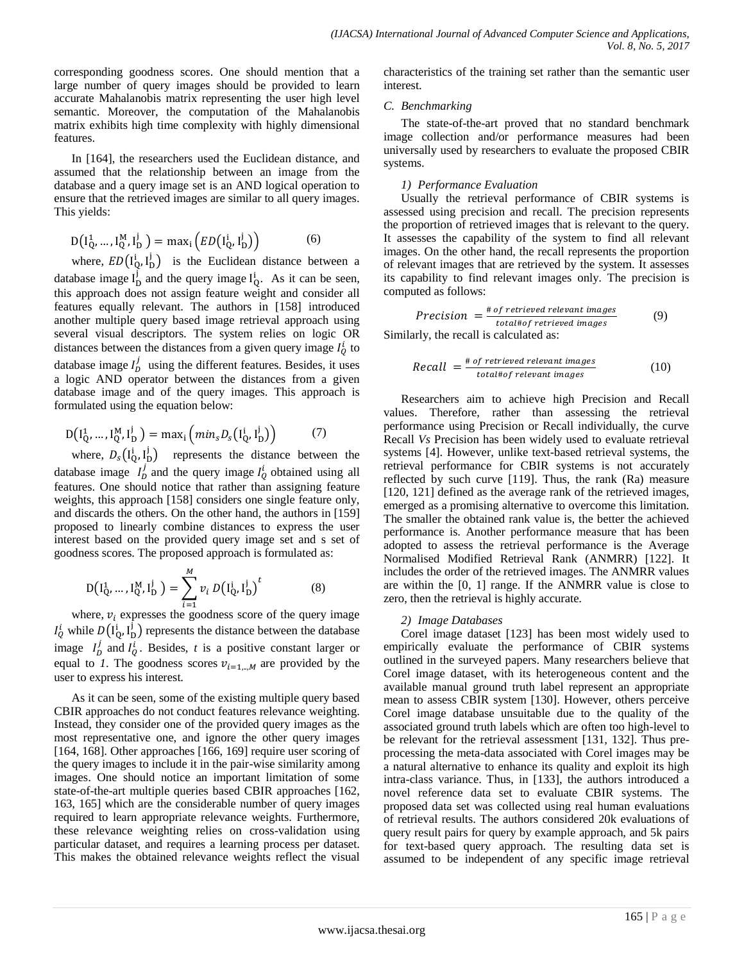corresponding goodness scores. One should mention that a large number of query images should be provided to learn accurate Mahalanobis matrix representing the user high level semantic. Moreover, the computation of the Mahalanobis matrix exhibits high time complexity with highly dimensional features.

In [164], the researchers used the Euclidean distance, and assumed that the relationship between an image from the database and a query image set is an AND logical operation to ensure that the retrieved images are similar to all query images. This yields:

$$
D\left(I_Q^1, \dots, I_Q^M, I_D^j\right) = \max_i \left( ED\left(I_Q^i, I_D^j\right)\right) \tag{6}
$$

where,  $ED(I_0^i, I_D^j)$  is the Euclidean distance between a database image  $I_D^j$  and the query image  $I_D^i$ . As it can be seen, this approach does not assign feature weight and consider all features equally relevant. The authors in [158] introduced another multiple query based image retrieval approach using several visual descriptors. The system relies on logic OR distances between the distances from a given query image  $I_0^i$  to database image  $I_p^j$  using the different features. Besides, it uses a logic AND operator between the distances from a given database image and of the query images. This approach is formulated using the equation below:

$$
D(I_{Q}^{1},...,I_{Q}^{M},I_{D}^{j}) = \max_{i} (min_{s}D_{s}(I_{Q}^{i},I_{D}^{j}))
$$
(7)

where,  $D_s(I_0^i, I_0^j)$  represents the distance between the database image  $I_D^j$  and the query image  $I_O^i$  obtained using all features. One should notice that rather than assigning feature weights, this approach [158] considers one single feature only, and discards the others. On the other hand, the authors in [159] proposed to linearly combine distances to express the user interest based on the provided query image set and s set of goodness scores. The proposed approach is formulated as:

$$
D(I_{Q}^{1},...,I_{Q}^{M},I_{D}^{j}) = \sum_{i=1}^{M} v_{i} D(I_{Q}^{i},I_{D}^{j})^{t}
$$
(8)

where,  $v_i$  expresses the goodness score of the query image  $I_0^i$  while  $D(I_0^i, I_0^j)$  represents the distance between the database image  $I_p^j$  and  $I_q^i$ . Besides, *t* is a positive constant larger or equal to *1*. The goodness scores  $v_{i=1,\dots,M}$  are provided by the user to express his interest.

As it can be seen, some of the existing multiple query based CBIR approaches do not conduct features relevance weighting. Instead, they consider one of the provided query images as the most representative one, and ignore the other query images [164, 168]. Other approaches [166, 169] require user scoring of the query images to include it in the pair-wise similarity among images. One should notice an important limitation of some state-of-the-art multiple queries based CBIR approaches [162, 163, 165] which are the considerable number of query images required to learn appropriate relevance weights. Furthermore, these relevance weighting relies on cross-validation using particular dataset, and requires a learning process per dataset. This makes the obtained relevance weights reflect the visual characteristics of the training set rather than the semantic user interest.

# *C. Benchmarking*

The state-of-the-art proved that no standard benchmark image collection and/or performance measures had been universally used by researchers to evaluate the proposed CBIR systems.

# *1) Performance Evaluation*

Usually the retrieval performance of CBIR systems is assessed using precision and recall. The precision represents the proportion of retrieved images that is relevant to the query. It assesses the capability of the system to find all relevant images. On the other hand, the recall represents the proportion of relevant images that are retrieved by the system. It assesses its capability to find relevant images only. The precision is computed as follows:

$$
Precision = \frac{\# of retrieved relevant images}{total # of retrieved images}
$$
 (9)

Similarly, the recall is calculated as:

Recall = 
$$
\frac{\text{# of retrieved relevant images}}{\text{total} + \text{of relevant images}}
$$
 (10)

Researchers aim to achieve high Precision and Recall values. Therefore, rather than assessing the retrieval performance using Precision or Recall individually, the curve Recall *Vs* Precision has been widely used to evaluate retrieval systems [4]. However, unlike text-based retrieval systems, the retrieval performance for CBIR systems is not accurately reflected by such curve [119]. Thus, the rank (Ra) measure [120, 121] defined as the average rank of the retrieved images, emerged as a promising alternative to overcome this limitation. The smaller the obtained rank value is, the better the achieved performance is. Another performance measure that has been adopted to assess the retrieval performance is the Average Normalised Modified Retrieval Rank (ANMRR) [122]. It includes the order of the retrieved images. The ANMRR values are within the [0, 1] range. If the ANMRR value is close to zero, then the retrieval is highly accurate.

## *2) Image Databases*

Corel image dataset [123] has been most widely used to empirically evaluate the performance of CBIR systems outlined in the surveyed papers. Many researchers believe that Corel image dataset, with its heterogeneous content and the available manual ground truth label represent an appropriate mean to assess CBIR system [130]. However, others perceive Corel image database unsuitable due to the quality of the associated ground truth labels which are often too high-level to be relevant for the retrieval assessment [131, 132]. Thus preprocessing the meta-data associated with Corel images may be a natural alternative to enhance its quality and exploit its high intra-class variance. Thus, in [133], the authors introduced a novel reference data set to evaluate CBIR systems. The proposed data set was collected using real human evaluations of retrieval results. The authors considered 20k evaluations of query result pairs for query by example approach, and 5k pairs for text-based query approach. The resulting data set is assumed to be independent of any specific image retrieval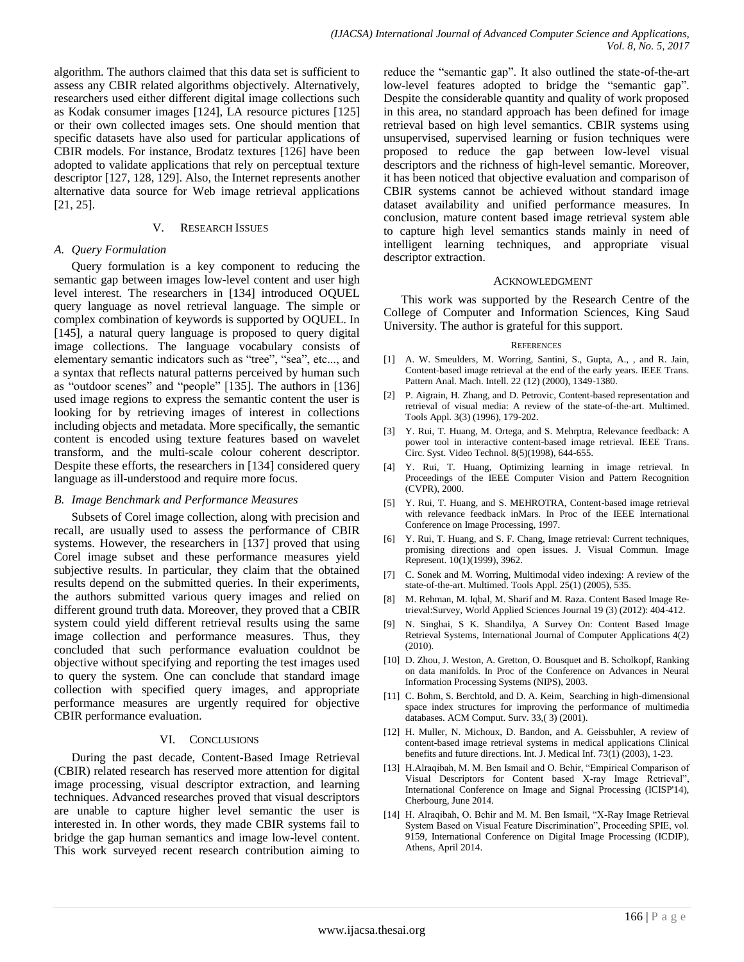algorithm. The authors claimed that this data set is sufficient to assess any CBIR related algorithms objectively. Alternatively, researchers used either different digital image collections such as Kodak consumer images [124], LA resource pictures [125] or their own collected images sets. One should mention that specific datasets have also used for particular applications of CBIR models. For instance, Brodatz textures [126] have been adopted to validate applications that rely on perceptual texture descriptor [127, 128, 129]. Also, the Internet represents another alternative data source for Web image retrieval applications [21, 25].

#### V. RESEARCH ISSUES

#### *A. Query Formulation*

Query formulation is a key component to reducing the semantic gap between images low-level content and user high level interest. The researchers in [134] introduced OQUEL query language as novel retrieval language. The simple or complex combination of keywords is supported by OQUEL. In [145], a natural query language is proposed to query digital image collections. The language vocabulary consists of elementary semantic indicators such as "tree", "sea", etc..., and a syntax that reflects natural patterns perceived by human such as "outdoor scenes" and "people" [135]. The authors in [136] used image regions to express the semantic content the user is looking for by retrieving images of interest in collections including objects and metadata. More specifically, the semantic content is encoded using texture features based on wavelet transform, and the multi-scale colour coherent descriptor. Despite these efforts, the researchers in [134] considered query language as ill-understood and require more focus.

## *B. Image Benchmark and Performance Measures*

Subsets of Corel image collection, along with precision and recall, are usually used to assess the performance of CBIR systems. However, the researchers in [137] proved that using Corel image subset and these performance measures yield subjective results. In particular, they claim that the obtained results depend on the submitted queries. In their experiments, the authors submitted various query images and relied on different ground truth data. Moreover, they proved that a CBIR system could yield different retrieval results using the same image collection and performance measures. Thus, they concluded that such performance evaluation couldnot be objective without specifying and reporting the test images used to query the system. One can conclude that standard image collection with specified query images, and appropriate performance measures are urgently required for objective CBIR performance evaluation.

#### VI. CONCLUSIONS

During the past decade, Content-Based Image Retrieval (CBIR) related research has reserved more attention for digital image processing, visual descriptor extraction, and learning techniques. Advanced researches proved that visual descriptors are unable to capture higher level semantic the user is interested in. In other words, they made CBIR systems fail to bridge the gap human semantics and image low-level content. This work surveyed recent research contribution aiming to reduce the "semantic gap". It also outlined the state-of-the-art low-level features adopted to bridge the "semantic gap". Despite the considerable quantity and quality of work proposed in this area, no standard approach has been defined for image retrieval based on high level semantics. CBIR systems using unsupervised, supervised learning or fusion techniques were proposed to reduce the gap between low-level visual descriptors and the richness of high-level semantic. Moreover, it has been noticed that objective evaluation and comparison of CBIR systems cannot be achieved without standard image dataset availability and unified performance measures. In conclusion, mature content based image retrieval system able to capture high level semantics stands mainly in need of intelligent learning techniques, and appropriate visual descriptor extraction.

#### ACKNOWLEDGMENT

This work was supported by the Research Centre of the College of Computer and Information Sciences, King Saud University. The author is grateful for this support.

#### **REFERENCES**

- [1] A. W. Smeulders, M. Worring, Santini, S., Gupta, A., , and R. Jain, Content-based image retrieval at the end of the early years. IEEE Trans. Pattern Anal. Mach. Intell. 22 (12) (2000), 1349-1380.
- [2] P. Aigrain, H. Zhang, and D. Petrovic, Content-based representation and retrieval of visual media: A review of the state-of-the-art. Multimed. Tools Appl. 3(3) (1996), 179-202.
- [3] Y. Rui, T. Huang, M. Ortega, and S. Mehrptra, Relevance feedback: A power tool in interactive content-based image retrieval. IEEE Trans. Circ. Syst. Video Technol. 8(5)(1998), 644-655.
- [4] Y. Rui, T. Huang, Optimizing learning in image retrieval. In Proceedings of the IEEE Computer Vision and Pattern Recognition (CVPR), 2000.
- [5] Y. Rui, T. Huang, and S. MEHROTRA, Content-based image retrieval with relevance feedback inMars. In Proc of the IEEE International Conference on Image Processing, 1997.
- [6] Y. Rui, T. Huang, and S. F. Chang, Image retrieval: Current techniques, promising directions and open issues. J. Visual Commun. Image Represent. 10(1)(1999), 3962.
- [7] C. Sonek and M. Worring, Multimodal video indexing: A review of the state-of-the-art. Multimed. Tools Appl. 25(1) (2005), 535.
- [8] M. Rehman, M. Iqbal, M. Sharif and M. Raza. Content Based Image Retrieval:Survey, World Applied Sciences Journal 19 (3) (2012): 404-412.
- N. Singhai, S K. Shandilya, A Survey On: Content Based Image Retrieval Systems, International Journal of Computer Applications 4(2) (2010).
- [10] D. Zhou, J. Weston, A. Gretton, O. Bousquet and B. Scholkopf, Ranking on data manifolds. In Proc of the Conference on Advances in Neural Information Processing Systems (NIPS), 2003.
- [11] C. Bohm, S. Berchtold, and D. A. Keim, Searching in high-dimensional space index structures for improving the performance of multimedia databases. ACM Comput. Surv. 33,( 3) (2001).
- [12] H. Muller, N. Michoux, D. Bandon, and A. Geissbuhler, A review of content-based image retrieval systems in medical applications Clinical benefits and future directions. Int. J. Medical Inf. 73(1) (2003), 1-23.
- [13] H.Alraqibah, M. M. Ben Ismail and O. Bchir, "Empirical Comparison of Visual Descriptors for Content based X-ray Image Retrieval", International Conference on Image and Signal Processing (ICISP'14), Cherbourg, June 2014.
- [14] H. Alraqibah, O. Bchir and M. M. Ben Ismail, "X-Ray Image Retrieval System Based on Visual Feature Discrimination", Proceeding SPIE, vol. 9159, International Conference on Digital Image Processing (ICDIP), Athens, April 2014.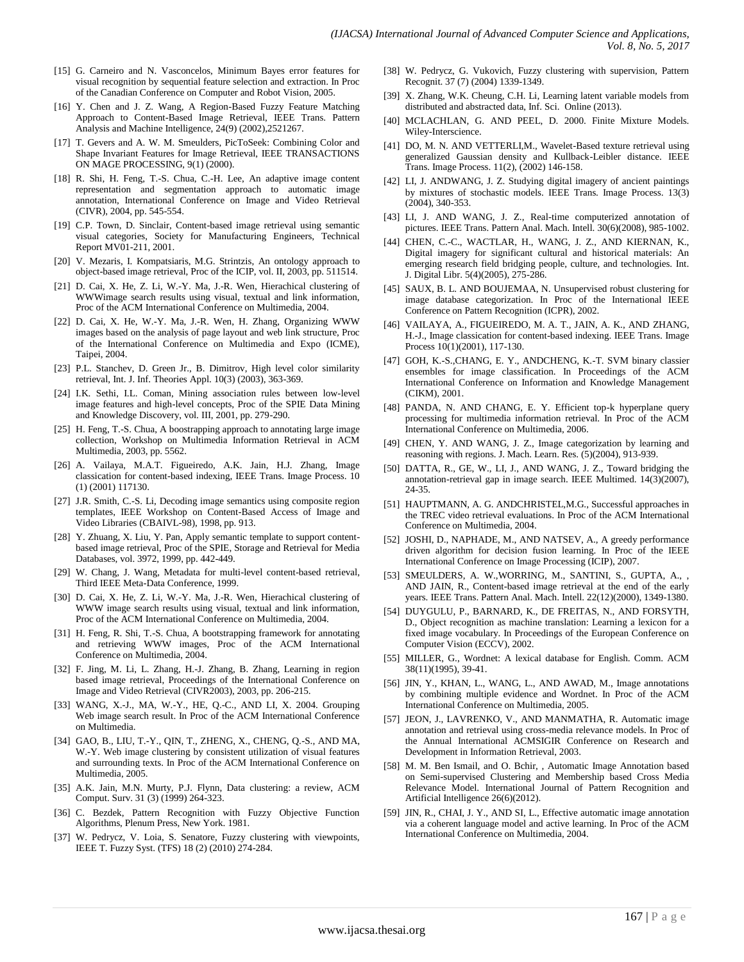- [15] G. Carneiro and N. Vasconcelos, Minimum Bayes error features for visual recognition by sequential feature selection and extraction. In Proc of the Canadian Conference on Computer and Robot Vision, 2005.
- [16] Y. Chen and J. Z. Wang, A Region-Based Fuzzy Feature Matching Approach to Content-Based Image Retrieval, IEEE Trans. Pattern Analysis and Machine Intelligence, 24(9) (2002),2521267.
- [17] T. Gevers and A. W. M. Smeulders, PicToSeek: Combining Color and Shape Invariant Features for Image Retrieval, IEEE TRANSACTIONS ON MAGE PROCESSING, 9(1) (2000).
- [18] R. Shi, H. Feng, T.-S. Chua, C.-H. Lee, An adaptive image content representation and segmentation approach to automatic image annotation, International Conference on Image and Video Retrieval (CIVR), 2004, pp. 545-554.
- [19] C.P. Town, D. Sinclair, Content-based image retrieval using semantic visual categories, Society for Manufacturing Engineers, Technical Report MV01-211, 2001.
- [20] V. Mezaris, I. Kompatsiaris, M.G. Strintzis, An ontology approach to object-based image retrieval, Proc of the ICIP, vol. II, 2003, pp. 511514.
- [21] D. Cai, X. He, Z. Li, W.-Y. Ma, J.-R. Wen, Hierachical clustering of WWWimage search results using visual, textual and link information, Proc of the ACM International Conference on Multimedia, 2004.
- [22] D. Cai, X. He, W.-Y. Ma, J.-R. Wen, H. Zhang, Organizing WWW images based on the analysis of page layout and web link structure, Proc of the International Conference on Multimedia and Expo (ICME), Taipei, 2004.
- [23] P.L. Stanchev, D. Green Jr., B. Dimitrov, High level color similarity retrieval, Int. J. Inf. Theories Appl. 10(3) (2003), 363-369.
- [24] I.K. Sethi, I.L. Coman, Mining association rules between low-level image features and high-level concepts, Proc of the SPIE Data Mining and Knowledge Discovery, vol. III, 2001, pp. 279-290.
- [25] H. Feng, T.-S. Chua, A boostrapping approach to annotating large image collection, Workshop on Multimedia Information Retrieval in ACM Multimedia, 2003, pp. 5562.
- [26] A. Vailaya, M.A.T. Figueiredo, A.K. Jain, H.J. Zhang, Image classication for content-based indexing, IEEE Trans. Image Process. 10 (1) (2001) 117130.
- [27] J.R. Smith, C.-S. Li, Decoding image semantics using composite region templates, IEEE Workshop on Content-Based Access of Image and Video Libraries (CBAIVL-98), 1998, pp. 913.
- [28] Y. Zhuang, X. Liu, Y. Pan, Apply semantic template to support contentbased image retrieval, Proc of the SPIE, Storage and Retrieval for Media Databases, vol. 3972, 1999, pp. 442-449.
- [29] W. Chang, J. Wang, Metadata for multi-level content-based retrieval, Third IEEE Meta-Data Conference, 1999.
- [30] D. Cai, X. He, Z. Li, W.-Y. Ma, J.-R. Wen, Hierachical clustering of WWW image search results using visual, textual and link information, Proc of the ACM International Conference on Multimedia, 2004.
- [31] H. Feng, R. Shi, T.-S. Chua, A bootstrapping framework for annotating and retrieving WWW images, Proc of the ACM International Conference on Multimedia, 2004.
- [32] F. Jing, M. Li, L. Zhang, H.-J. Zhang, B. Zhang, Learning in region based image retrieval, Proceedings of the International Conference on Image and Video Retrieval (CIVR2003), 2003, pp. 206-215.
- [33] WANG, X.-J., MA, W.-Y., HE, Q.-C., AND LI, X. 2004. Grouping Web image search result. In Proc of the ACM International Conference on Multimedia.
- [34] GAO, B., LIU, T.-Y., QIN, T., ZHENG, X., CHENG, Q.-S., AND MA, W.-Y. Web image clustering by consistent utilization of visual features and surrounding texts. In Proc of the ACM International Conference on Multimedia, 2005.
- [35] A.K. Jain, M.N. Murty, P.J. Flynn, Data clustering: a review, ACM Comput. Surv. 31 (3) (1999) 264-323.
- [36] C. Bezdek, Pattern Recognition with Fuzzy Objective Function Algorithms, Plenum Press, New York. 1981.
- [37] W. Pedrycz, V. Loia, S. Senatore, Fuzzy clustering with viewpoints, IEEE T. Fuzzy Syst. (TFS) 18 (2) (2010) 274-284.
- [38] W. Pedrycz, G. Vukovich, Fuzzy clustering with supervision, Pattern Recognit. 37 (7) (2004) 1339-1349.
- [39] X. Zhang, W.K. Cheung, C.H. Li, Learning latent variable models from distributed and abstracted data, Inf. Sci. Online (2013).
- [40] MCLACHLAN, G. AND PEEL, D. 2000. Finite Mixture Models. Wiley-Interscience.
- [41] DO, M. N. AND VETTERLI, M., Wavelet-Based texture retrieval using generalized Gaussian density and Kullback-Leibler distance. IEEE Trans. Image Process. 11(2), (2002) 146-158.
- [42] LI, J. ANDWANG, J. Z. Studying digital imagery of ancient paintings by mixtures of stochastic models. IEEE Trans. Image Process. 13(3) (2004), 340-353.
- [43] LI, J. AND WANG, J. Z., Real-time computerized annotation of pictures. IEEE Trans. Pattern Anal. Mach. Intell. 30(6)(2008), 985-1002.
- [44] CHEN, C.-C., WACTLAR, H., WANG, J. Z., AND KIERNAN, K., Digital imagery for significant cultural and historical materials: An emerging research field bridging people, culture, and technologies. Int. J. Digital Libr. 5(4)(2005), 275-286.
- [45] SAUX, B. L. AND BOUJEMAA, N. Unsupervised robust clustering for image database categorization. In Proc of the International IEEE Conference on Pattern Recognition (ICPR), 2002.
- [46] VAILAYA, A., FIGUEIREDO, M. A. T., JAIN, A. K., AND ZHANG, H.-J., Image classication for content-based indexing. IEEE Trans. Image Process 10(1)(2001), 117-130.
- [47] GOH, K.-S.,CHANG, E. Y., ANDCHENG, K.-T. SVM binary classier ensembles for image classification. In Proceedings of the ACM International Conference on Information and Knowledge Management (CIKM), 2001.
- [48] PANDA, N. AND CHANG, E. Y. Efficient top-k hyperplane query processing for multimedia information retrieval. In Proc of the ACM International Conference on Multimedia, 2006.
- [49] CHEN, Y. AND WANG, J. Z., Image categorization by learning and reasoning with regions. J. Mach. Learn. Res. (5)(2004), 913-939.
- [50] DATTA, R., GE, W., LI, J., AND WANG, J. Z., Toward bridging the annotation-retrieval gap in image search. IEEE Multimed. 14(3)(2007), 24-35.
- [51] HAUPTMANN, A. G. ANDCHRISTEL,M.G., Successful approaches in the TREC video retrieval evaluations. In Proc of the ACM International Conference on Multimedia, 2004.
- [52] JOSHI, D., NAPHADE, M., AND NATSEV, A., A greedy performance driven algorithm for decision fusion learning. In Proc of the IEEE International Conference on Image Processing (ICIP), 2007.
- [53] SMEULDERS, A. W.,WORRING, M., SANTINI, S., GUPTA, A., , AND JAIN, R., Content-based image retrieval at the end of the early years. IEEE Trans. Pattern Anal. Mach. Intell. 22(12)(2000), 1349-1380.
- [54] DUYGULU, P., BARNARD, K., DE FREITAS, N., AND FORSYTH, D., Object recognition as machine translation: Learning a lexicon for a fixed image vocabulary. In Proceedings of the European Conference on Computer Vision (ECCV), 2002.
- [55] MILLER, G., Wordnet: A lexical database for English. Comm. ACM 38(11)(1995), 39-41.
- [56] JIN, Y., KHAN, L., WANG, L., AND AWAD, M., Image annotations by combining multiple evidence and Wordnet. In Proc of the ACM International Conference on Multimedia, 2005.
- [57] JEON, J., LAVRENKO, V., AND MANMATHA, R. Automatic image annotation and retrieval using cross-media relevance models. In Proc of the Annual International ACMSIGIR Conference on Research and Development in Information Retrieval, 2003.
- [58] M. M. Ben Ismail, and O. Bchir, , Automatic Image Annotation based on Semi-supervised Clustering and Membership based Cross Media Relevance Model. International Journal of Pattern Recognition and Artificial Intelligence 26(6)(2012).
- [59] JIN, R., CHAI, J. Y., AND SI, L., Effective automatic image annotation via a coherent language model and active learning. In Proc of the ACM International Conference on Multimedia, 2004.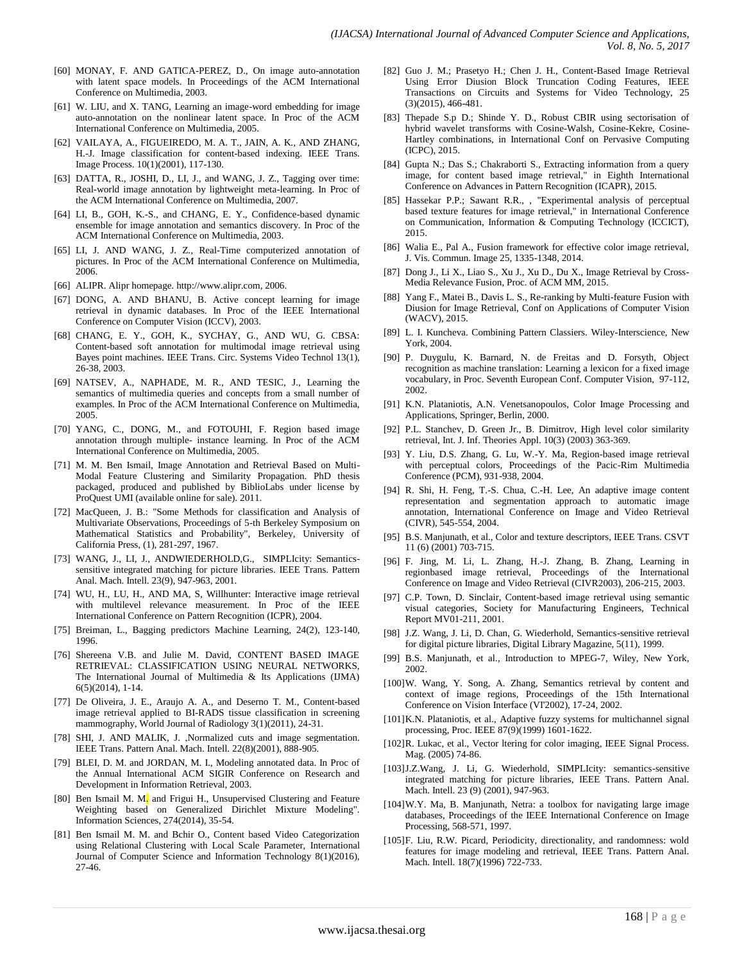- [60] MONAY, F. AND GATICA-PEREZ, D., On image auto-annotation with latent space models. In Proceedings of the ACM International Conference on Multimedia, 2003.
- [61] W. LIU, and X. TANG, Learning an image-word embedding for image auto-annotation on the nonlinear latent space. In Proc of the ACM International Conference on Multimedia, 2005.
- [62] VAILAYA, A., FIGUEIREDO, M. A. T., JAIN, A. K., AND ZHANG, H.-J. Image classification for content-based indexing. IEEE Trans. Image Process. 10(1)(2001), 117-130.
- [63] DATTA, R., JOSHI, D., LI, J., and WANG, J. Z., Tagging over time: Real-world image annotation by lightweight meta-learning. In Proc of the ACM International Conference on Multimedia, 2007.
- [64] LI, B., GOH, K.-S., and CHANG, E. Y., Confidence-based dynamic ensemble for image annotation and semantics discovery. In Proc of the ACM International Conference on Multimedia, 2003.
- [65] LI, J. AND WANG, J. Z., Real-Time computerized annotation of pictures. In Proc of the ACM International Conference on Multimedia, 2006.
- [66] ALIPR. Alipr homepage[. http://www.alipr.com,](http://www.alipr.com/) 2006.
- [67] DONG, A. AND BHANU, B. Active concept learning for image retrieval in dynamic databases. In Proc of the IEEE International Conference on Computer Vision (ICCV), 2003.
- [68] CHANG, E. Y., GOH, K., SYCHAY, G., AND WU, G. CBSA: Content-based soft annotation for multimodal image retrieval using Bayes point machines. IEEE Trans. Circ. Systems Video Technol 13(1), 26-38, 2003.
- [69] NATSEV, A., NAPHADE, M. R., AND TESIC, J., Learning the semantics of multimedia queries and concepts from a small number of examples. In Proc of the ACM International Conference on Multimedia, 2005.
- [70] YANG, C., DONG, M., and FOTOUHI, F. Region based image annotation through multiple- instance learning. In Proc of the ACM International Conference on Multimedia, 2005.
- [71] M. M. Ben Ismail, Image Annotation and Retrieval Based on Multi-Modal Feature Clustering and Similarity Propagation. PhD thesis packaged, produced and published by BiblioLabs under license by ProQuest UMI (available online for sale). 2011.
- [72] MacQueen, J. B.: "Some Methods for classification and Analysis of Multivariate Observations, Proceedings of 5-th Berkeley Symposium on Mathematical Statistics and Probability", Berkeley, University of California Press, (1), 281-297, 1967.
- [73] WANG, J., LI, J., ANDWIEDERHOLD,G., SIMPLIcity: Semanticssensitive integrated matching for picture libraries. IEEE Trans. Pattern Anal. Mach. Intell. 23(9), 947-963, 2001.
- [74] WU, H., LU, H., AND MA, S, Willhunter: Interactive image retrieval with multilevel relevance measurement. In Proc of the IEEE International Conference on Pattern Recognition (ICPR), 2004.
- [75] Breiman, L., Bagging predictors Machine Learning, 24(2), 123-140, 1996.
- [76] Shereena V.B. and Julie M. David, CONTENT BASED IMAGE RETRIEVAL: CLASSIFICATION USING NEURAL NETWORKS, The International Journal of Multimedia & Its Applications (IJMA) 6(5)(2014), 1-14.
- [77] De Oliveira, J. E., Araujo A. A., and Deserno T. M., Content-based image retrieval applied to BI-RADS tissue classification in screening mammography, World Journal of Radiology 3(1)(2011), 24-31.
- [78] SHI, J. AND MALIK, J. ,Normalized cuts and image segmentation. IEEE Trans. Pattern Anal. Mach. Intell. 22(8)(2001), 888-905.
- [79] BLEI, D. M. and JORDAN, M. I., Modeling annotated data. In Proc of the Annual International ACM SIGIR Conference on Research and Development in Information Retrieval, 2003.
- [80] Ben Ismail M. M. and Frigui H., Unsupervised Clustering and Feature Weighting based on Generalized Dirichlet Mixture Modeling". Information Sciences, 274(2014), 35-54.
- [81] Ben Ismail M. M. and Bchir O., Content based Video Categorization using Relational Clustering with Local Scale Parameter, International Journal of Computer Science and Information Technology 8(1)(2016), 27-46.
- [82] Guo J. M.; Prasetyo H.; Chen J. H., Content-Based Image Retrieval Using Error Diusion Block Truncation Coding Features, IEEE Transactions on Circuits and Systems for Video Technology, 25 (3)(2015), 466-481.
- [83] Thepade S.p D.; Shinde Y. D., Robust CBIR using sectorisation of hybrid wavelet transforms with Cosine-Walsh, Cosine-Kekre, Cosine-Hartley combinations, in International Conf on Pervasive Computing (ICPC), 2015.
- [84] Gupta N.; Das S.; Chakraborti S., Extracting information from a query image, for content based image retrieval," in Eighth International Conference on Advances in Pattern Recognition (ICAPR), 2015.
- [85] Hassekar P.P.; Sawant R.R., , "Experimental analysis of perceptual based texture features for image retrieval," in International Conference on Communication, Information & Computing Technology (ICCICT), 2015.
- [86] Walia E., Pal A., Fusion framework for effective color image retrieval, J. Vis. Commun. Image 25, 1335-1348, 2014.
- [87] Dong J., Li X., Liao S., Xu J., Xu D., Du X., Image Retrieval by Cross-Media Relevance Fusion, Proc. of ACM MM, 2015.
- [88] Yang F., Matei B., Davis L. S., Re-ranking by Multi-feature Fusion with Diusion for Image Retrieval, Conf on Applications of Computer Vision (WACV), 2015.
- [89] L. I. Kuncheva. Combining Pattern Classiers. Wiley-Interscience, New York, 2004.
- [90] P. Duygulu, K. Barnard, N. de Freitas and D. Forsyth, Object recognition as machine translation: Learning a lexicon for a fixed image vocabulary, in Proc. Seventh European Conf. Computer Vision, 97-112, 2002.
- [91] K.N. Plataniotis, A.N. Venetsanopoulos, Color Image Processing and Applications, Springer, Berlin, 2000.
- [92] P.L. Stanchev, D. Green Jr., B. Dimitrov, High level color similarity retrieval, Int. J. Inf. Theories Appl. 10(3) (2003) 363-369.
- [93] Y. Liu, D.S. Zhang, G. Lu, W.-Y. Ma, Region-based image retrieval with perceptual colors, Proceedings of the Pacic-Rim Multimedia Conference (PCM), 931-938, 2004.
- [94] R. Shi, H. Feng, T.-S. Chua, C.-H. Lee, An adaptive image content representation and segmentation approach to automatic image annotation, International Conference on Image and Video Retrieval (CIVR), 545-554, 2004.
- [95] B.S. Manjunath, et al., Color and texture descriptors, IEEE Trans. CSVT 11 (6) (2001) 703-715.
- [96] F. Jing, M. Li, L. Zhang, H.-J. Zhang, B. Zhang, Learning in regionbased image retrieval, Proceedings of the International Conference on Image and Video Retrieval (CIVR2003), 206-215, 2003.
- [97] C.P. Town, D. Sinclair, Content-based image retrieval using semantic visual categories, Society for Manufacturing Engineers, Technical Report MV01-211, 2001.
- [98] J.Z. Wang, J. Li, D. Chan, G. Wiederhold, Semantics-sensitive retrieval for digital picture libraries, Digital Library Magazine, 5(11), 1999.
- [99] B.S. Manjunath, et al., Introduction to MPEG-7, Wiley, New York, 2002.
- [100]W. Wang, Y. Song, A. Zhang, Semantics retrieval by content and context of image regions, Proceedings of the 15th International Conference on Vision Interface (VI'2002), 17-24, 2002.
- [101]K.N. Plataniotis, et al., Adaptive fuzzy systems for multichannel signal processing, Proc. IEEE 87(9)(1999) 1601-1622.
- [102]R. Lukac, et al., Vector ltering for color imaging, IEEE Signal Process. Mag. (2005) 74-86.
- [103]J.Z.Wang, J. Li, G. Wiederhold, SIMPLIcity: semantics-sensitive integrated matching for picture libraries, IEEE Trans. Pattern Anal. Mach. Intell. 23 (9) (2001), 947-963.
- [104]W.Y. Ma, B. Manjunath, Netra: a toolbox for navigating large image databases, Proceedings of the IEEE International Conference on Image Processing, 568-571, 1997.
- [105]F. Liu, R.W. Picard, Periodicity, directionality, and randomness: wold features for image modeling and retrieval, IEEE Trans. Pattern Anal. Mach. Intell. 18(7)(1996) 722-733.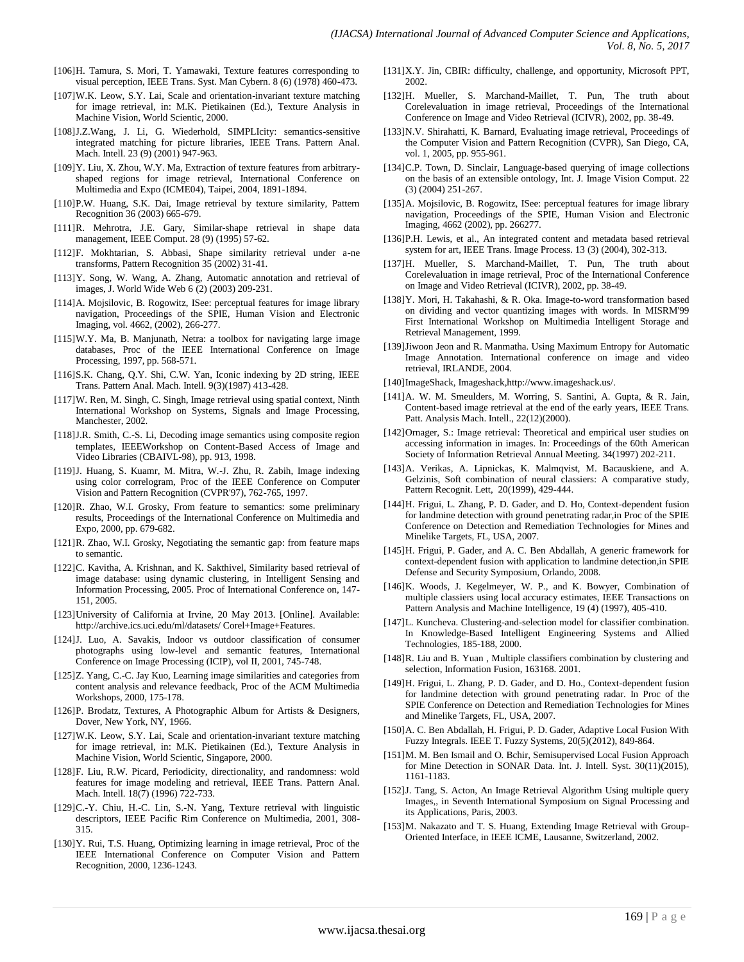- [106]H. Tamura, S. Mori, T. Yamawaki, Texture features corresponding to visual perception, IEEE Trans. Syst. Man Cybern. 8 (6) (1978) 460-473.
- [107]W.K. Leow, S.Y. Lai, Scale and orientation-invariant texture matching for image retrieval, in: M.K. Pietikainen (Ed.), Texture Analysis in Machine Vision, World Scientic, 2000.
- [108] J.Z.Wang, J. Li, G. Wiederhold, SIMPLIcity: semantics-sensitive integrated matching for picture libraries, IEEE Trans. Pattern Anal. Mach. Intell. 23 (9) (2001) 947-963.
- [109] Y. Liu, X. Zhou, W.Y. Ma, Extraction of texture features from arbitraryshaped regions for image retrieval, International Conference on Multimedia and Expo (ICME04), Taipei, 2004, 1891-1894.
- [110]P.W. Huang, S.K. Dai, Image retrieval by texture similarity, Pattern Recognition 36 (2003) 665-679.
- [111]R. Mehrotra, J.E. Gary, Similar-shape retrieval in shape data management, IEEE Comput. 28 (9) (1995) 57-62.
- [112]F. Mokhtarian, S. Abbasi, Shape similarity retrieval under a-ne transforms, Pattern Recognition 35 (2002) 31-41.
- [113]Y. Song, W. Wang, A. Zhang, Automatic annotation and retrieval of images, J. World Wide Web 6 (2) (2003) 209-231.
- [114]A. Mojsilovic, B. Rogowitz, ISee: perceptual features for image library navigation, Proceedings of the SPIE, Human Vision and Electronic Imaging, vol. 4662, (2002), 266-277.
- [115]W.Y. Ma, B. Manjunath, Netra: a toolbox for navigating large image databases, Proc of the IEEE International Conference on Image Processing, 1997, pp. 568-571.
- [116]S.K. Chang, Q.Y. Shi, C.W. Yan, Iconic indexing by 2D string, IEEE Trans. Pattern Anal. Mach. Intell. 9(3)(1987) 413-428.
- [117]W. Ren, M. Singh, C. Singh, Image retrieval using spatial context, Ninth International Workshop on Systems, Signals and Image Processing, Manchester, 2002.
- [118]J.R. Smith, C.-S. Li, Decoding image semantics using composite region templates, IEEEWorkshop on Content-Based Access of Image and Video Libraries (CBAIVL-98), pp. 913, 1998.
- [119]J. Huang, S. Kuamr, M. Mitra, W.-J. Zhu, R. Zabih, Image indexing using color correlogram, Proc of the IEEE Conference on Computer Vision and Pattern Recognition (CVPR'97), 762-765, 1997.
- [120]R. Zhao, W.I. Grosky, From feature to semantics: some preliminary results, Proceedings of the International Conference on Multimedia and Expo, 2000, pp. 679-682.
- [121]R. Zhao, W.I. Grosky, Negotiating the semantic gap: from feature maps to semantic.
- [122]C. Kavitha, A. Krishnan, and K. Sakthivel, Similarity based retrieval of image database: using dynamic clustering, in Intelligent Sensing and Information Processing, 2005. Proc of International Conference on, 147- 151, 2005.
- [123]University of California at Irvine, 20 May 2013. [Online]. Available: <http://archive.ics.uci.edu/ml/datasets/> Corel+Image+Features.
- [124]J. Luo, A. Savakis, Indoor vs outdoor classification of consumer photographs using low-level and semantic features, International Conference on Image Processing (ICIP), vol II, 2001, 745-748.
- [125]Z. Yang, C.-C. Jay Kuo, Learning image similarities and categories from content analysis and relevance feedback, Proc of the ACM Multimedia Workshops, 2000, 175-178.
- [126]P. Brodatz, Textures, A Photographic Album for Artists & Designers, Dover, New York, NY, 1966.
- [127]W.K. Leow, S.Y. Lai, Scale and orientation-invariant texture matching for image retrieval, in: M.K. Pietikainen (Ed.), Texture Analysis in Machine Vision, World Scientic, Singapore, 2000.
- [128]F. Liu, R.W. Picard, Periodicity, directionality, and randomness: wold features for image modeling and retrieval, IEEE Trans. Pattern Anal. Mach. Intell. 18(7) (1996) 722-733.
- [129]C.-Y. Chiu, H.-C. Lin, S.-N. Yang, Texture retrieval with linguistic descriptors, IEEE Pacific Rim Conference on Multimedia, 2001, 308- 315.
- [130]Y. Rui, T.S. Huang, Optimizing learning in image retrieval, Proc of the IEEE International Conference on Computer Vision and Pattern Recognition, 2000, 1236-1243.
- [131]X.Y. Jin, CBIR: difficulty, challenge, and opportunity, Microsoft PPT, 2002.
- [132] H. Mueller, S. Marchand-Maillet, T. Pun, The truth about Corelevaluation in image retrieval, Proceedings of the International Conference on Image and Video Retrieval (ICIVR), 2002, pp. 38-49.
- [133]N.V. Shirahatti, K. Barnard, Evaluating image retrieval, Proceedings of the Computer Vision and Pattern Recognition (CVPR), San Diego, CA, vol. 1, 2005, pp. 955-961.
- [134]C.P. Town, D. Sinclair, Language-based querying of image collections on the basis of an extensible ontology, Int. J. Image Vision Comput. 22 (3) (2004) 251-267.
- [135]A. Mojsilovic, B. Rogowitz, ISee: perceptual features for image library navigation, Proceedings of the SPIE, Human Vision and Electronic Imaging, 4662 (2002), pp. 266277.
- [136]P.H. Lewis, et al., An integrated content and metadata based retrieval system for art, IEEE Trans. Image Process. 13 (3) (2004), 302-313.
- [137]H. Mueller, S. Marchand-Maillet, T. Pun, The truth about Corelevaluation in image retrieval, Proc of the International Conference on Image and Video Retrieval (ICIVR), 2002, pp. 38-49.
- [138]Y. Mori, H. Takahashi, & R. Oka. Image-to-word transformation based on dividing and vector quantizing images with words. In MISRM'99 First International Workshop on Multimedia Intelligent Storage and Retrieval Management, 1999.
- [139] Jiwoon Jeon and R. Manmatha. Using Maximum Entropy for Automatic Image Annotation. International conference on image and video retrieval, IRLANDE, 2004.
- [140]ImageShack, Imageshack,http://www.imageshack.us/.
- [141]A. W. M. Smeulders, M. Worring, S. Santini, A. Gupta, & R. Jain, Content-based image retrieval at the end of the early years, IEEE Trans. Patt. Analysis Mach. Intell., 22(12)(2000).
- [142]Ornager, S.: Image retrieval: Theoretical and empirical user studies on accessing information in images. In: Proceedings of the 60th American Society of Information Retrieval Annual Meeting. 34(1997) 202-211.
- [143]A. Verikas, A. Lipnickas, K. Malmqvist, M. Bacauskiene, and A. Gelzinis, Soft combination of neural classiers: A comparative study, Pattern Recognit. Lett, 20(1999), 429-444.
- [144]H. Frigui, L. Zhang, P. D. Gader, and D. Ho, Context-dependent fusion for landmine detection with ground penetrating radar,in Proc of the SPIE Conference on Detection and Remediation Technologies for Mines and Minelike Targets, FL, USA, 2007.
- [145]H. Frigui, P. Gader, and A. C. Ben Abdallah, A generic framework for context-dependent fusion with application to landmine detection,in SPIE Defense and Security Symposium, Orlando, 2008.
- [146]K. Woods, J. Kegelmeyer, W. P., and K. Bowyer, Combination of multiple classiers using local accuracy estimates, IEEE Transactions on Pattern Analysis and Machine Intelligence, 19 (4) (1997), 405-410.
- [147]L. Kuncheva. Clustering-and-selection model for classifier combination. In Knowledge-Based Intelligent Engineering Systems and Allied Technologies, 185-188, 2000.
- [148]R. Liu and B. Yuan, Multiple classifiers combination by clustering and selection, Information Fusion, 163168. 2001.
- [149]H. Frigui, L. Zhang, P. D. Gader, and D. Ho., Context-dependent fusion for landmine detection with ground penetrating radar. In Proc of the SPIE Conference on Detection and Remediation Technologies for Mines and Minelike Targets, FL, USA, 2007.
- [150] A. C. Ben Abdallah, H. Frigui, P. D. Gader, Adaptive Local Fusion With Fuzzy Integrals. IEEE T. Fuzzy Systems, 20(5)(2012), 849-864.
- [151]M. M. Ben Ismail and O. Bchir, Semisupervised Local Fusion Approach for Mine Detection in SONAR Data. Int. J. Intell. Syst. 30(11)(2015), 1161-1183.
- [152]J. Tang, S. Acton, An Image Retrieval Algorithm Using multiple query Images,, in Seventh International Symposium on Signal Processing and its Applications, Paris, 2003.
- [153]M. Nakazato and T. S. Huang, Extending Image Retrieval with Group-Oriented Interface, in IEEE ICME, Lausanne, Switzerland, 2002.